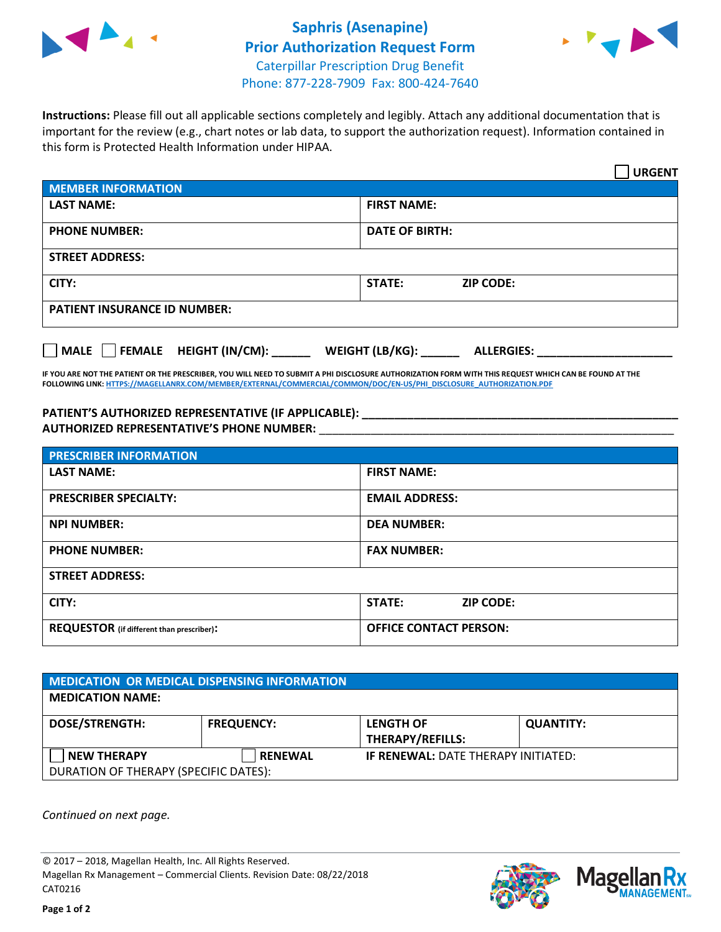



**Instructions:** Please fill out all applicable sections completely and legibly. Attach any additional documentation that is important for the review (e.g., chart notes or lab data, to support the authorization request). Information contained in this form is Protected Health Information under HIPAA.

|                                       | <b>URGENT</b>                        |  |
|---------------------------------------|--------------------------------------|--|
| <b>MEMBER INFORMATION</b>             |                                      |  |
| <b>LAST NAME:</b>                     | <b>FIRST NAME:</b>                   |  |
| <b>PHONE NUMBER:</b>                  | <b>DATE OF BIRTH:</b>                |  |
| <b>STREET ADDRESS:</b>                |                                      |  |
| CITY:                                 | <b>STATE:</b><br><b>ZIP CODE:</b>    |  |
| <b>PATIENT INSURANCE ID NUMBER:</b>   |                                      |  |
| FEMALE HEIGHT (IN/CM):<br><b>MALE</b> | WEIGHT (LB/KG):<br><b>ALLERGIES:</b> |  |

**IF YOU ARE NOT THE PATIENT OR THE PRESCRIBER, YOU WILL NEED TO SUBMIT A PHI DISCLOSURE AUTHORIZATION FORM WITH THIS REQUEST WHICH CAN BE FOUND AT THE FOLLOWING LINK[: HTTPS://MAGELLANRX.COM/MEMBER/EXTERNAL/COMMERCIAL/COMMON/DOC/EN-US/PHI\\_DISCLOSURE\\_AUTHORIZATION.PDF](https://magellanrx.com/member/external/commercial/common/doc/en-us/PHI_Disclosure_Authorization.pdf)**

**PATIENT'S AUTHORIZED REPRESENTATIVE (IF APPLICABLE): \_\_\_\_\_\_\_\_\_\_\_\_\_\_\_\_\_\_\_\_\_\_\_\_\_\_\_\_\_\_\_\_\_\_\_\_\_\_\_\_\_\_\_\_\_\_\_\_\_ AUTHORIZED REPRESENTATIVE'S PHONE NUMBER:** \_\_\_\_\_\_\_\_\_\_\_\_\_\_\_\_\_\_\_\_\_\_\_\_\_\_\_\_\_\_\_\_\_\_\_\_\_\_\_\_\_\_\_\_\_\_\_\_\_\_\_\_\_\_\_

| <b>PRESCRIBER INFORMATION</b>             |                                   |  |  |
|-------------------------------------------|-----------------------------------|--|--|
| <b>LAST NAME:</b>                         | <b>FIRST NAME:</b>                |  |  |
| <b>PRESCRIBER SPECIALTY:</b>              | <b>EMAIL ADDRESS:</b>             |  |  |
| <b>NPI NUMBER:</b>                        | <b>DEA NUMBER:</b>                |  |  |
| <b>PHONE NUMBER:</b>                      | <b>FAX NUMBER:</b>                |  |  |
| <b>STREET ADDRESS:</b>                    |                                   |  |  |
| CITY:                                     | <b>STATE:</b><br><b>ZIP CODE:</b> |  |  |
| REQUESTOR (if different than prescriber): | <b>OFFICE CONTACT PERSON:</b>     |  |  |

| <b>MEDICATION OR MEDICAL DISPENSING INFORMATION</b> |                   |                                            |                  |  |  |
|-----------------------------------------------------|-------------------|--------------------------------------------|------------------|--|--|
| <b>MEDICATION NAME:</b>                             |                   |                                            |                  |  |  |
| <b>DOSE/STRENGTH:</b>                               | <b>FREQUENCY:</b> | <b>LENGTH OF</b>                           | <b>QUANTITY:</b> |  |  |
|                                                     |                   | <b>THERAPY/REFILLS:</b>                    |                  |  |  |
| <b>NEW THERAPY</b>                                  | <b>RENEWAL</b>    | <b>IF RENEWAL: DATE THERAPY INITIATED:</b> |                  |  |  |
| DURATION OF THERAPY (SPECIFIC DATES):               |                   |                                            |                  |  |  |

*Continued on next page.*

© 2017 – 2018, Magellan Health, Inc. All Rights Reserved. Magellan Rx Management – Commercial Clients. Revision Date: 08/22/2018 CAT0216